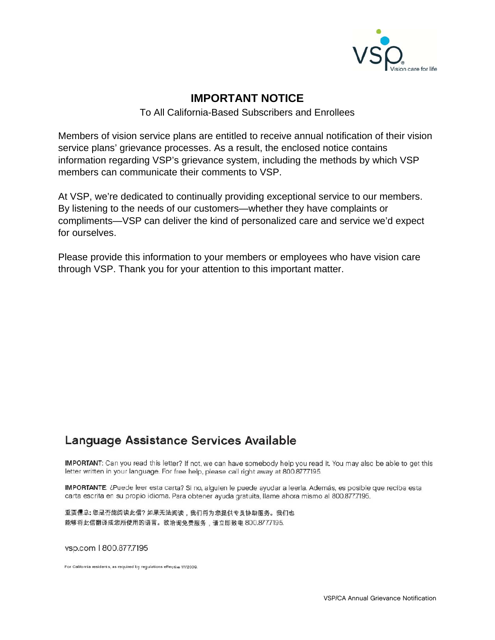

#### **IMPORTANT NOTICE**

#### To All California-Based Subscribers and Enrollees

Members of vision service plans are entitled to receive annual notification of their vision service plans' grievance processes. As a result, the enclosed notice contains information regarding VSP's grievance system, including the methods by which VSP members can communicate their comments to VSP.

At VSP, we're dedicated to continually providing exceptional service to our members. By listening to the needs of our customers—whether they have complaints or compliments—VSP can deliver the kind of personalized care and service we'd expect for ourselves.

Please provide this information to your members or employees who have vision care through VSP. Thank you for your attention to this important matter.

# Language Assistance Services Available

IMPORTANT: Can you read this letter? If not, we can have somebody help you read it. You may also be able to get this letter written in your language. For free help, please call right away at 800.8777195.

IMPORTANTE: ¿Puede leer esta carta? Si no, alguien le puede ayudar a leerla. Además, es posible que reciba esta carta escrita en su propio idioma. Para obtener ayuda gratuita, llame ahora mismo al 800.877.7195.

重耍信息:您是否能阅读此信?如果无法阅读,我们将为您提供专员协助服务。我们也 能够将此信翻译成您所使用的语言。欲洽询免费服务,请立即致电 800.877.7195.

vsp.com | 800.877.7195

For California residents, as required by regulations effective 1/1/2009.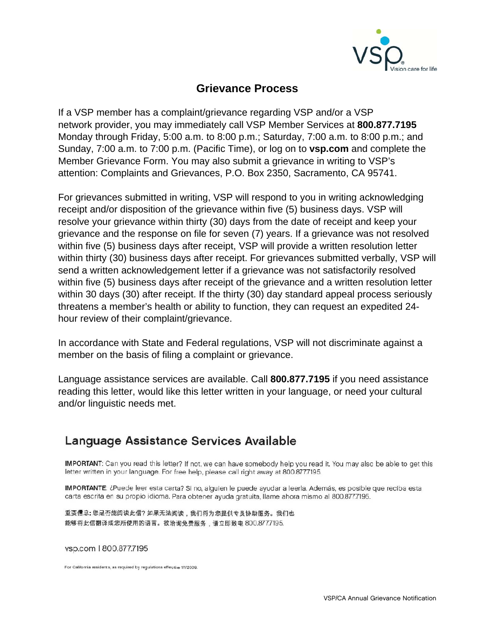

#### **Grievance Process**

If a VSP member has a complaint/grievance regarding VSP and/or a VSP network provider, you may immediately call VSP Member Services at **800.877.7195** Monday through Friday, 5:00 a.m. to 8:00 p.m.; Saturday, 7:00 a.m. to 8:00 p.m.; and Sunday, 7:00 a.m. to 7:00 p.m. (Pacific Time), or log on to **vsp.com** and complete the Member Grievance Form. You may also submit a grievance in writing to VSP's attention: Complaints and Grievances, P.O. Box 2350, Sacramento, CA 95741.

For grievances submitted in writing, VSP will respond to you in writing acknowledging receipt and/or disposition of the grievance within five (5) business days. VSP will resolve your grievance within thirty (30) days from the date of receipt and keep your grievance and the response on file for seven (7) years. If a grievance was not resolved within five (5) business days after receipt, VSP will provide a written resolution letter within thirty (30) business days after receipt. For grievances submitted verbally, VSP will send a written acknowledgement letter if a grievance was not satisfactorily resolved within five (5) business days after receipt of the grievance and a written resolution letter within 30 days (30) after receipt. If the thirty (30) day standard appeal process seriously threatens a member's health or ability to function, they can request an expedited 24 hour review of their complaint/grievance.

In accordance with State and Federal regulations, VSP will not discriminate against a member on the basis of filing a complaint or grievance.

Language assistance services are available. Call **800.877.7195** if you need assistance reading this letter, would like this letter written in your language, or need your cultural and/or linguistic needs met.

### Language Assistance Services Available

IMPORTANT: Can you read this letter? If not, we can have somebody help you read it. You may also be able to get this letter written in your language. For free help, please call right away at 800.877.7195.

IMPORTANTE: ¿Puede leer esta carta? Si no, alguien le puede ayudar a leerla. Además, es posible que reciba esta carta escrita en su propio idioma. Para obtener ayuda gratuita, llame ahora mismo al 800.877.7195.

重耍信息:您是否能阅读此信?如果无法阅读,我们将为您提供专员协助服务。我们也 能够将此信翻译成您所使用的语言。欲洽询免费服务,请立即致电 800.8777195.

vsp.com | 800.877.7195

For California residents, as required by regulations effective 1/1/2009.